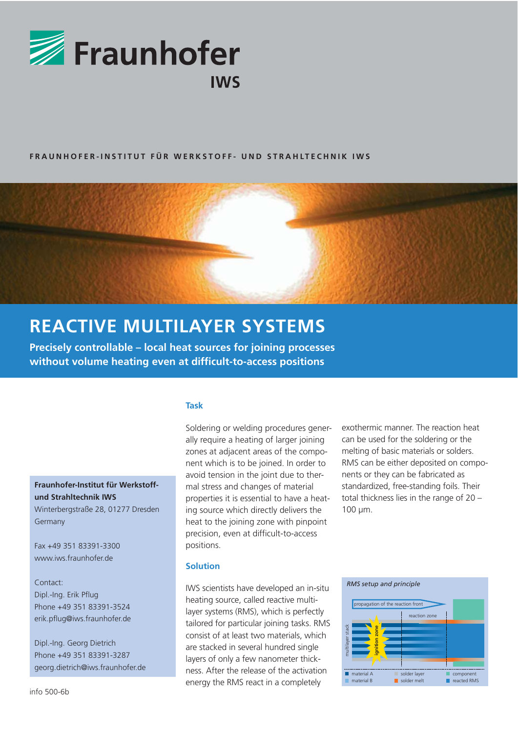

## **FRAUNHOFER-INSTITUT FÜR WERKSTOFF- UND STRAHLTECHNIK IWS**



# **REACTIVE MULTILAYER SYSTEMS**

**Precisely controllable – local heat sources for joining processes without volume heating even at difficult-to-access positions**

#### **Task**

Soldering or welding procedures generally require a heating of larger joining zones at adjacent areas of the component which is to be joined. In order to avoid tension in the joint due to thermal stress and changes of material properties it is essential to have a heating source which directly delivers the heat to the joining zone with pinpoint precision, even at difficult-to-access positions.

## **Solution**

IWS scientists have developed an in-situ heating source, called reactive multilayer systems (RMS), which is perfectly tailored for particular joining tasks. RMS consist of at least two materials, which are stacked in several hundred single layers of only a few nanometer thickness. After the release of the activation energy the RMS react in a completely

exothermic manner. The reaction heat can be used for the soldering or the melting of basic materials or solders. RMS can be either deposited on components or they can be fabricated as standardized, free-standing foils. Their total thickness lies in the range of 20 – 100 μm.



**Fraunhofer-Institut für Werkstoffund Strahltechnik IWS** 

Winterbergstraße 28, 01277 Dresden Germany

Fax +49 351 83391-3300 www.iws.fraunhofer.de

Contact: Dipl.-Ing. Erik Pflug Phone +49 351 83391-3524 erik.pflug@iws.fraunhofer.de

Dipl.-Ing. Georg Dietrich Phone +49 351 83391-3287 georg.dietrich@iws.fraunhofer.de

info 500-6b